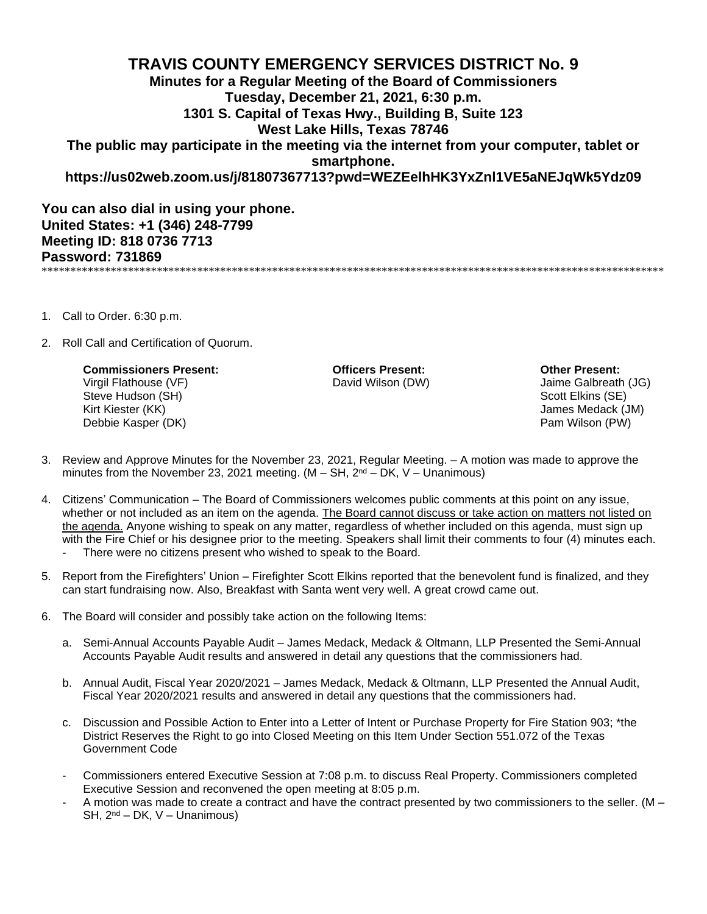## **TRAVIS COUNTY EMERGENCY SERVICES DISTRICT No. 9 Minutes for a Regular Meeting of the Board of Commissioners Tuesday, December 21, 2021, 6:30 p.m. 1301 S. Capital of Texas Hwy., Building B, Suite 123 West Lake Hills, Texas 78746 The public may participate in the meeting via the internet from your computer, tablet or smartphone. https://us02web.zoom.us/j/81807367713?pwd=WEZEelhHK3YxZnl1VE5aNEJqWk5Ydz09**

**You can also dial in using your phone. United States: +1 (346) 248-7799 Meeting ID: 818 0736 7713 Password: 731869** \*\*\*\*\*\*\*\*\*\*\*\*\*\*\*\*\*\*\*\*\*\*\*\*\*\*\*\*\*\*\*\*\*\*\*\*\*\*\*\*\*\*\*\*\*\*\*\*\*\*\*\*\*\*\*\*\*\*\*\*\*\*\*\*\*\*\*\*\*\*\*\*\*\*\*\*\*\*\*\*\*\*\*\*\*\*\*\*\*\*\*\*\*\*\*\*\*\*\*\*\*\*\*\*\*\*\*\*

- 1. Call to Order. 6:30 p.m.
- 2. Roll Call and Certification of Quorum.

**Commissioners Present: Officers Present: Other Present:** Virgil Flathouse (VF) David Wilson (DW) Jaime Galbreath (JG) Steve Hudson (SH) Steve Hudson (SH) Scott Elkins (SE) Scott Elkins (SE) Scott Elkins (SE) Kirt Kiester (KK) Group Communication of the Communication of the Communication of the Communication of the Communication of the Communication of the Communication of the Communication of the Communication of the Communica Debbie Kasper (DK) Pam Wilson (PW)

- 3. Review and Approve Minutes for the November 23, 2021, Regular Meeting. A motion was made to approve the minutes from the November 23, 2021 meeting.  $(M - SH, 2<sup>nd</sup> - DK, V - Unanimous)$
- 4. Citizens' Communication The Board of Commissioners welcomes public comments at this point on any issue, whether or not included as an item on the agenda. The Board cannot discuss or take action on matters not listed on the agenda. Anyone wishing to speak on any matter, regardless of whether included on this agenda, must sign up with the Fire Chief or his designee prior to the meeting. Speakers shall limit their comments to four (4) minutes each. There were no citizens present who wished to speak to the Board.
- 5. Report from the Firefighters' Union Firefighter Scott Elkins reported that the benevolent fund is finalized, and they can start fundraising now. Also, Breakfast with Santa went very well. A great crowd came out.
- 6. The Board will consider and possibly take action on the following Items:
	- a. Semi-Annual Accounts Payable Audit James Medack, Medack & Oltmann, LLP Presented the Semi-Annual Accounts Payable Audit results and answered in detail any questions that the commissioners had.
	- b. Annual Audit, Fiscal Year 2020/2021 James Medack, Medack & Oltmann, LLP Presented the Annual Audit, Fiscal Year 2020/2021 results and answered in detail any questions that the commissioners had.
	- c. Discussion and Possible Action to Enter into a Letter of Intent or Purchase Property for Fire Station 903; \*the District Reserves the Right to go into Closed Meeting on this Item Under Section 551.072 of the Texas Government Code
	- Commissioners entered Executive Session at 7:08 p.m. to discuss Real Property. Commissioners completed Executive Session and reconvened the open meeting at 8:05 p.m.
	- A motion was made to create a contract and have the contract presented by two commissioners to the seller. ( $M -$ SH,  $2^{nd}$  – DK, V – Unanimous)